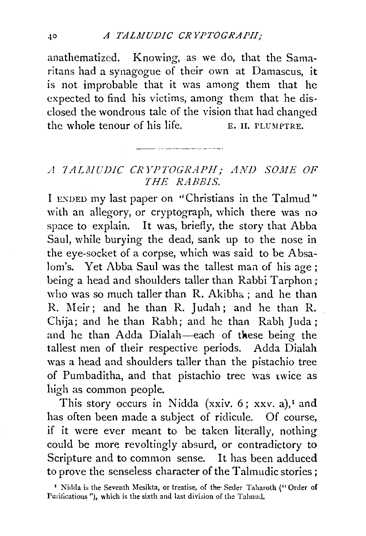anathematized. Knowing, as we do, that the Samaritans had a synagogue of their own at Damascus, it is not improbable that it was among them that he expected to find his victims, among them that he disclosed the wondrous tale of the vision that had changed the whole tenour of his life.  $E$ . II. PLUMPTRE.

## *A 1 A LM UDIC CR l'PTOGRAPH; AND SOJI1E OF THE RABBIS.*

I ENDED my last paper on "Christians in the Talmud" with an allegory, or cryptograph, which there was no space to explain. It was, briefly, the story that Abba Saul, while burying the dead, sank up to the nose in the eye-socket of a corpse, which was said to be Absalom's. Yet Abba Saul was the tallest man of his age ; being a head and shoulders taller than Rabbi Tarphon; who was so much taller than R. Akibha; and he than R. Meir; and he than R. Judah; and he than R. Chija; and he than Rabh; and he than Rabh Juda; and he than Adda Dialah--each of these being the tallest men of their respective periods. Adda Dialah was a head and shoulders taller than the pistachio tree of Pumbaditha, and that pistachio tree was twice as high as common people.

This story occurs in Nidda (xxiv.  $6$ ; xxv. a),<sup> $1$ </sup> and has often been made a subject of ridicule. Of course, if it were ever meant to be taken literally, nothing could be more revoltingly absurd, or contradictory to Scripture and to common sense. It has been adduced to prove the senseless character of the Talmudic stories;

<sup>&#</sup>x27; Nidda is the Seventh Mesikta, or treatise, of the Seder Taharoth ("Order of Purifications "), which is the sixth and last division of the Talmud.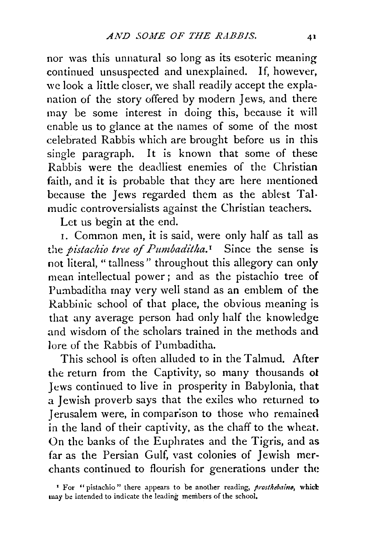nor was this unnatural so long as its esoteric meaning continued unsuspected and unexplained. If, however, we look a little closer, we shall readily accept the explanation of the story offered by modern Jews, and there may be some interest in doing this, because it will enable us to glance at the names of some of the most celebrated Rabbis which are brought before us in this single paragraph. It is known that some of these Rabbis were the deadliest enemies of the Christian faith, and it is probable that they are here mentioned because the Jews regarded them as the ablest Talmudic controversialists against the Christian teachers.

Let us begin at the end.

1. Common men, it is said, were only half as tall as the *pistachio tree of Pumbaditha.* 1 Since the sense is not literal, " tallness" throughout this allegory can only mean intellectual power ; and as the pistachio *tree* of Pumbaditha may very well stand as an emblem of the Rabbinic school of that place, the obvious meaning is that any average person had only half the knowledge and wisdom of the scholars trained in the methods and lore of the Rabbis of Pumbaditha.

This school is often alluded to in the Talmud. After the return from the Captivity, so many thousands ot Jews continued to live in prosperity in Babylonia, that a Jewish proverb says that the exiles who returned to Jerusalem were, in comparison to those who remained in the land of their captivity, as the chaff to the wheat. On the banks of the Euphrates and the Tigris, and as far as the Persian Gulf, vast colonies of Jewish merchants continued to flourish for generations under the

<sup>&</sup>lt;sup>1</sup> For "pistachio" there appears to be another reading, *prosthebaine*, which may be intended to indicate the leading members of the school,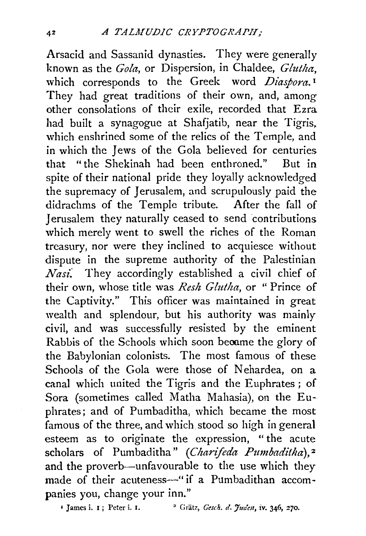Arsacid and Sassanid dynasties. They were generally known as the *Gola,* or Dispersion, in Chaldee, *Glutha,*  which corresponds to the Greek word *Diasbora*.<sup>1</sup> They had great traditions of their own, and, among other consolations of their exile, recorded that Ezra had built a synagogue at Shafiatib, near the Tigris, which enshrined some of the relics of the Temple, and in which the Jews of the Gola believed for centuries that "the Shekinah had been enthroned." But in spite of their national pride they loyally acknowledged the supremacy of Jerusalem, and scrupulously paid the didrachms of the Temple tribute. After the fall of Jerusalem they naturally ceased to send contributions which merely went to swell the riches of the Roman treasury, nor were they inclined to acquiesce without dispute in the supreme authority of the Palestinian *Nasi:* They accordingly established a civil chief of their own, whose title was *Resh Glutha,* or " Prince of the Captivity." This officer was maintained in great wealth and splendour, but his authority was mainly civil, and was successfully resisted by the eminent Rabbis of the Schools which soon became the glory of the Babylonian colonists. The most famous of these Schools of the Gola were those of Nebardea, on a canal which united the Tigris and the Euphrates ; of Sora (sometimes called Matha Mahasia), on the Euphrates; and of Pumbaditha, which became the most famous of the three, and which. stood so high in general esteem as to originate the expression, " the acute scholars of Pumbaditha" (Charifeda Pumbaditha),<sup>2</sup> and the proverb-unfavourable to the use which they made of their acuteness-" if a Pumbadithan accompanies you, change your inn."

<sup>1</sup> James i. 1 ; Peter i. 1. <sup>2</sup> Grätz, *Gesch. d. Juden*, *iv.* 346, 270.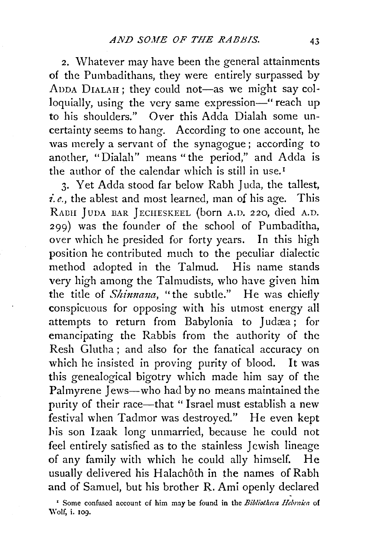2. Whatever may have been the general attainments of the Pumbadithans, they were entirely surpassed by ADDA DIALAH; they could not-as we might say colloquially, using the very same expression-" reach up to his shoulders." Over this Adda Dialah some uncertainty seems to hang. According to one account, he was merely a servant of the synagogue; according to another, "Dialah" means "the period," and Adda is the author of the calendar which is still in use.<sup> $I$ </sup>

3. Yet Adda stood far below Rabh Juda, the tallest, *i.e.,* the ablest and most learned, man of his age. This RADII jUDA BAR jECHESKEEL (born A.D. 220, died A.D. 299) was the founder of the school of Pumbaditha, over which he presided for forty years. In this high position he contributed much to the peculiar dialectic method adopted in the Talmud. His name stands very high among the Talmudists, who have given him the title of *Shinnana*, "the subtle." He was chiefly conspicuous for opposing with his utmost energy all attempts to return from Babylonia to Judæa; for emancipating the Rabbis from the authority of the Resh Glutha; and also for the fanatical accuracy on which he insisted in proving purity of blood. It was this genealogical bigotry which made him say of the Palmyrene Jews-who had by no means maintained the purity of their race—that " Israel must establish a new festival when Tadmor was destroyed." He even kept his son Izaak long unmarried, because he could not feel entirely satisfied as to the stainless Jewish lineage of any family with which he could ally himself. He usually delivered his Halachôth in the names of Rabh and of Samuel, but his brother R. Ami openly declared

<sup>&</sup>lt;sup>1</sup> Some confused account of him may be found in the *Bibliotheca Hebraica* of Wolf, i. 109.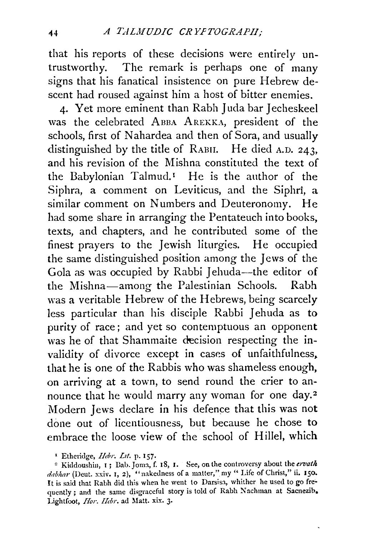that his reports of these decisions were entirely untrustworthy. The remark is perhaps one of many signs that his fanatical insistence on pure Hebrew descent had roused against him a host of bitter enemies.

4. Yet more eminent than Rabh Juda bar Jecheskeel was the celebrated ABBA AREKKA, president of the schools, first of Nahardea and then of Sora, and usually distinguished by the title of RABH. He died A.D. 243, and his revision of the Mishna constituted the text of the Babylonian Talmud.<sup>1</sup> He is the author of the Siphra, a comment on Leviticus, and the Siphri, a similar comment on Numbers and Deuteronomy. He had some share in arranging the Pentateuch into books, texts, and chapters, and he contributed some of the finest prayers to the Jewish liturgies. He occupied the same distinguished position among the Jews of the Gola as was occupied by Rabbi Jehuda--the editor of the Mishna-among the Palestinian Schools. Rabh was a veritable Hebrew of the Hebrews, being scarcely less particular than his disciple Rabbi Jehuda as to purity of race; and yet so contemptuous an opponent was he of that Shammaite decision respecting the invalidity of divorce except in cases of unfaithfulness, that he is one of the Rabbis who was shameless enough, on arriving at a town, to send round the crier to announce that he would marry any woman for one day.<sup>2</sup> Modern Jews declare in his defence that this was not done out of licentiousness, but because he chose to embrace the loose view of the school of Hillel, which

<sup>&#</sup>x27; Etheridge, *llebr. Lit.* p. I57·

<sup>&</sup>lt;sup>2</sup> Kiddoushin, 1; Bab. Joma, f. 18, I. See, on the controversy about the ervath *dabhar* (Deut. xxiv. I, 2), "nakedness of a matter," my " Life of Christ," ii. 150. It is said that Rabh did this when he went to Darsisa, whither he used to go frequently ; and the same disgraceful story is told of Rabh Nachman at Sacnezib. Lightfoot, *Hor. Hebr.* ad Matt. xix. 3.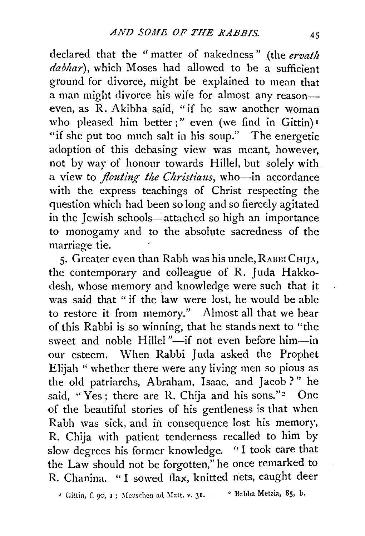declared that the "matter of nakedness" (the *ervatlt*  dabhar), which Moses had allowed to be a sufficient ground for divorce, might be explained to mean that a man might divorce his wife for almost any reason- even, as R. Akibha said, "if he saw another woman who pleased him better;" even (we find in Gittin) 1 "if she put too much salt in his soup." The energetic adoption of this debasing view was meant, however, not by way of honour towards Hillel, but solely with a view to *flouting the Christians*, who-in accordance with the express teachings of Christ respecting the question which had been so long and so fiercely agitated in the Jewish schools—attached so high an importance to monogamy and to the absolute sacredness of the marriage tie.

5. Greater even than Rabh was his uncle, RABBI CHIJA, the contemporary and colleague of R. Juda Hakkodesh, whose memory and knowledge were such that it was said that " if the law were lost, he would be able to restore it from memory." Almost all that we hear of this Rabbi is so winning, that he stands next to "the sweet and noble Hillel "-if not even before him-in our esteem. When Rabbi Juda asked the Prophet Elijah " whether there were any living men so pious as the old patriarchs, Abraham, Isaac, and Jacob?" he said, "Yes; there are R. Chija and his sons."<sup>2</sup> One of the beautiful stories of his gentleness is that when Rabh was sick, and in consequence lost his memory, R. Chija with patient tenderness recalled to him by slow degrees his former knowledge. "I took care that the Law should not be forgotten," he once remarked to R. Chanina. " I sowed flax, knitted nets, caught deer

<sup>I</sup> Gittin, f. 90, I; Meuschen ad Matt. v. 31. <sup>2</sup> Babha Metzia, 85, b.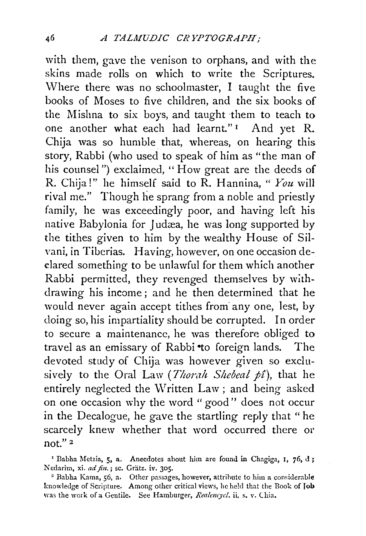with them, gave the venison to orphans, and with the skins made rolls on which to write the Scriptures. Where there was no schoolmaster, I taught the five books of Moses to five children, and the six books of the Mishna to six boys, and taught ·them to teach to one another what each had learnt." 1 And yet R. Chija was so humble that, whereas, on hearing this story, Rabbi (who used to speak of him as "the man of his counsel") exclaimed, "How great are the deeds of R. Chija!" he himself said to R. Hannina, " *Yozt* will rival me." Though he sprang from a noble and priestly family, he was exceedingly poor, and having left his native Babylonia for Judæa, he was long supported by the tithes given to him by the wealthy House of Silvani, in Tiberias. Having, however, on one occasion dedared something to be unlawful for them which another Rabbi permitted, they revenged themselves by withdrawing his income; and he then determined that he would never again accept tithes from· any one, lest, by doing so, his impartiality should be corrupted. In order to secure a maintenance, he was therefore obliged to travel as an emissary of Rabbi to foreign lands. The devoted study of Chija was however given so exclusively to the Oral Law (*Thorah Shebeal pî*), that he entirely neglected the Written Law; and being asked on one occasion why the word "good" does not occur in the Decalogue, he gave the startling reply that "he scarcely knew whether that word occurred there or not." 2

' Babha Metzia, 5, a. Anecdotes about him are found in Chagiga, I, 76, d; Nedarim, xi. ad fin.; sc. Grätz. iv. 305.

<sup>2</sup> Babha Kama, 56, a. Other passages, however, attribute to him a considerable knowledge of Scripture. Among other critical views, he held that the Book of Job Was the work of a Gentile. See Hamburger, *Realencycl*. ii. s. v. Chia.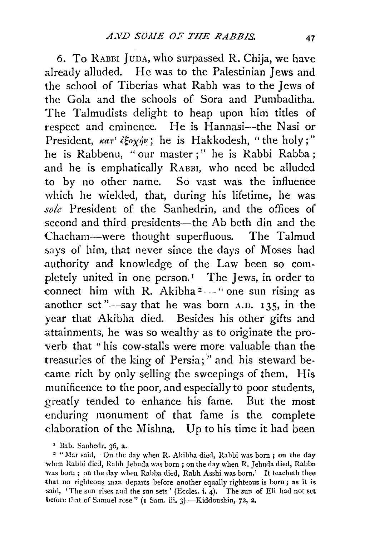6. To RAnm JunA, who surpassed R. Chija, we have already alluded. He was to the Palestinian Jews and the school of Tiberias what Rabh was to the Jews of the Gola and the schools of Sora and Pumbaditha. The Talmudists delight to heap upon him titles of respect and eminence. He is Hannasi--the Nasi or President,  $\kappa a\tau' \epsilon \xi o_\chi \gamma \nu$ ; he is Hakkodesh, "the holy;" he is Rabbenu, " our master ; " he is Rabbi Rabba ; and he is emphatically RABBI, who need be alluded to by no other name. So vast was the influence which he wielded, that, during his lifetime, he was *sole* President of the Sanhedrin, and the offices of second and third presidents-the Ab beth din and the Chacham-were thought superfluous. The Talmud says of him, that never since the days of Moses had authority and knowledge of the Law been so completely united in one person.<sup>1</sup> The Jews, in order to connect him with R. Akibha  $2 -$  " one sun rising as another set " $-\text{say}$  that he was born A.D. 135, in the year that Akibha died. Besides his other gifts and attainments, he was so wealthy as to originate the proverb that "his cow-stalls were more valuable than the treasuries of the king of Persia;" and his steward became rich by only selling the sweepings of them. His munificence to the poor, and especially to poor students, greatly tended to enhance his fame. But the most enduring monument of that fame is the complete elaboration of the Mishna. Up to his time it had been

<sup>&#</sup>x27; Dab. Sanhedr. 36, a.

<sup>&</sup>lt;sup>2</sup> "Mar said, On the day when R. Akibha died, Rabbi was born; on the day when Rabbi died, Rabh Jehuda was born; on the day when R. Jehuda died, Rabba was born; on the day when Rabba died, Rabh Asshi was born.' It teacheth thee that no righteous man departs before another equally righteous is born; as it is said, 'The sun rises and the sun sets' (Eccles. i. 4). The sun of Eli had not set before that of Samuel rose" (1 Sam. iii. 3).-Kiddoushin, 72, 2.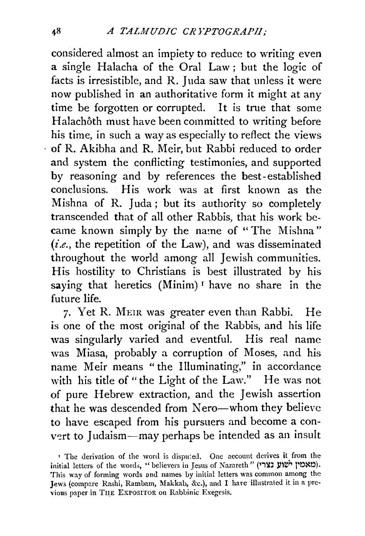considered almost an impiety to reduce to writing even a single Halacha of the Oral Law ; but the logic of facts is irresistible, and R. Juda saw that unless it were now published in an authoritative form it might at any time be forgotten or corrupted. It is true that some Halachôth must have been committed to writing before his time, in such a way as especially to reflect the views · of R. Akibha and R. Meir, but Rabbi reduced to order and system the conflicting testimonies, and supported by reasoning and by references the best-established conclusions. His work was at first known as the Mishna of R. Juda; but its authority so completely transcended that of all other Rabbis, that his work became known simply by the name of "The Mishna" *(i.e.,* the repetition of the Law), and was disseminated throughout the world among all Jewish communities. His hostility to Christians is best illustrated by his saying that heretics (Minim)<sup>1</sup> have no share in the future life.

7· Yet R. MEIR was greater even than Rabbi. He is one of the most original of the Rabbis, and his life was singularly varied and eventful. His real name was Miasa, probably a corruption of Moses, and his name Meir means "the Illuminating," in accordance with his title of "the Light of the Law." He was not of pure Hebrew extraction, and the Jewish assertion that he was descended from Nero-whom they believe to have escaped from his pursuers and become a convert to Judaism—may perhaps be intended as an insult

<sup>&</sup>lt;sup>1</sup> The derivation of the word is disputed. One account derives it from the initial letters of the words, "believers in Jesus of Nazareth" ('תאמין ישׁוע נצרי This way of forming words and names by initial letters was common among the Jews (compare Rashi, Rambam, Makkab, &c.), and I have illustrated it in a previous paper in THE EXPOSITOR on Rabbinic Exegesis.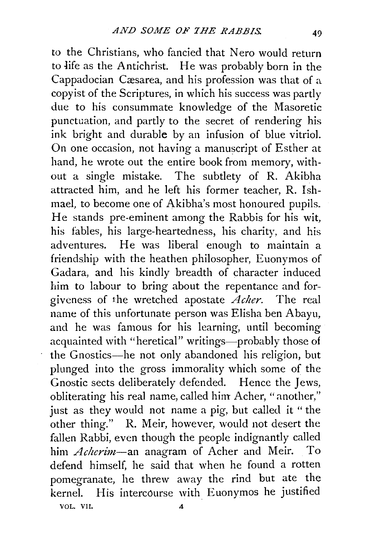to the Christians, who fancied that Nero would return to Jife as the Antichrist. He was probably born in the Cappadocian Cæsarea, and his profession was that of a. copyist of the Scriptures, in which his success was partly due to his consummate knowledge of the Masoretic punctuation, and partly to the secret of rendering his ink bright and durable by an infusion of blue vitriol. On one occasion, not having a manuscript of Esther at hand, he wrote out the entire book from memory, without a single mistake. The subtlety of R. Akibha attracted him, and he left his former teacher, R. Ishmael, to become one of Akibha's most honoured pupils. He stands pre-eminent among the Rabbis for his wit, his fables, his large-heartedness, his charity, and his adventures. He was liberal enough to maintain a friendship with the heathen philosopher, Euonymos of Gadara, and his kindly breadth of character induced him to labour to bring about the repentance and forgiveness of the wretched apostate *Acher*. The real name of this unfortunate person was Elisha ben Abayu, and he was famous for his learning, until becoming acquainted with "heretical" writings—probably those of the Gnostics-he not only abandoned his religion, but plunged into the gross immorality which some of the Gnostic sects deliberately defended. Hence the Jews, obliterating his real name, called him Acher, "another," just as they would not name a pig, but called it "the other thing." R. Meir, however, would not desert the fallen Rabbi, even though the people indignantly called him *Acherim*-an anagram of Acher and Meir. To defend himself, he said that when he found a rotten pomegranate, he threw away the rind but ate the kernel. His intercourse with Euonymos he justified VOL. VII. 4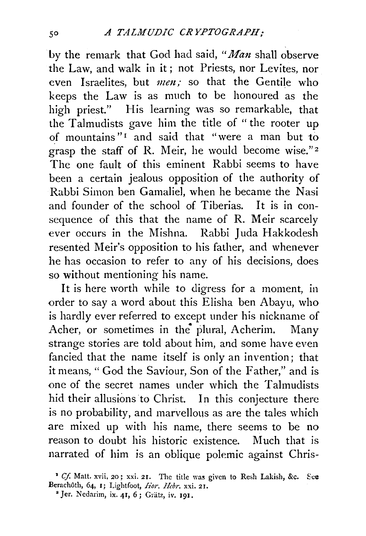by the remark that God had said, "*Man* shall observe the Law, and walk in it; not Priests, nor Levites, nor even Israelites, but *men;* so that the Gentile who keeps the Law is as much to be honoured as the high priest." His learning was so remarkable, that the Talmudists gave him the title of "the rooter up of mountains"<sup>1</sup> and said that "were a man but to grasp the staff of R. Meir, he would become wise."<sup>2</sup> The one fault of this eminent Rabbi seems to have been a certain jealous opposition of the authority of Rabbi Simon ben Gamaliel, when he became the Nasi and founder of the school of Tiberias. It is in consequence of this that the name of R. Meir scarcely ever occurs in the Mishna. Rabbi Juda Hakkodesh resented Meir's opposition to his father, and whenever he has occasion to refer to any of his decisions, does so without mentioning his name.

It is here worth while to digress for a moment, in order to say a word about this Elisha ben Abayu, who is hardly ever referred to except under his nickname of Acher, or sometimes in the plural, Acherim. Many strange stories are told about him, and some have even fancied that the name itself is only an invention; that it means, "God the Saviour, Son of the Father," and is one of the secret names under which the Talmudists hid their allusions to Christ. In this conjecture there is no probability, and marvellous as are the tales which are mixed up with his name, there seems to be no reason to doubt his historic existence. Much that is narrated of him is an oblique polemic against Chris-

<sup>&</sup>lt;sup>1</sup> Cf. Matt. xvii, 20; xxi. 21. The title was given to Resh Lakish, &c. See Berachôth, 64, 1; Lightfoot, *Hor. Hebr.* xxi. 21.

<sup>&</sup>lt;sup>2</sup> Jer. Nedarim, ix. 41, 6; Grätz, iv. 191.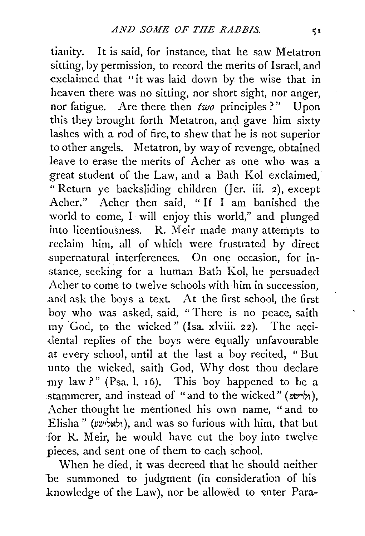tianity. It is said, for instance, that he saw Metatron sitting, by permission, to record the merits of Israel, and exclaimed that "it was laid down by the wise that in heaven there was no sitting, nor short sight, nor anger, nor fatigue. Are there then  $two$  principles?" Upon this they brought forth Metatron, and gave him sixty lashes with a rod of fire, to shew that he is not superior to other angels. Metatron, by way of revenge, obtained leave to erase the merits of Acher as one who was a great student of the Law, and a Bath Kol exclaimed, " Return ye backsliding children (Jer. iii. 2), except Acher." Acher then said, " If I am banished the world to come, I will enjoy this world," and plunged into licentiousness. R. Meir made many attempts to reclaim him, all of which were frustrated by direct supernatural interferences. On one occasion, for instance, seeking for a human Bath Kol, he persuaded Acher to come to twelve schools with him in succession, .and ask the boys a text. At the first school, the first boy who was asked, said, " There is no peace, saith my 'God, to the wicked" (Isa. xlviii. 22). The accidental replies of the boys were equally unfavourable at every school, until at the last a boy recited, " Bul unto the wicked, saith God, Why dost thou declare my law?" (Psa.l. 16). This boy happened to be a stammerer, and instead of "and to the wicked" (ילרשע), Acher thought he mentioned his own name, " and to Elisha" ( $x$ %;), and was so furious with him, that but for R. Meir, he would have cut the boy into twelve pieces, and sent one of them to each school.

When he died, it was decreed that he should neither be summoned to judgment (in consideration of his knowledge of the Law), nor be allowed to enter Para-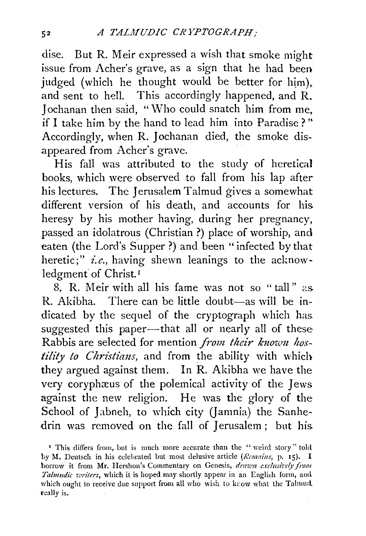dise. But R. Meir expressed a wish that smoke might issue from Acher's grave, as a sign that he had been judged (which he thought would be better for him). and sent to hell. This accordingly happened, and R. 1 ochanan then said, "Who could snatch him from me, if I take him by the hand to lead him into Paradise ? " Accordingly, when R. 1ochanan died, the smoke disappeared from Acher's grave.

His fall was attributed to the study of heretical books, which were observed to fall from his lap after his lectures. The Jerusalem Talmud gives a somewhat different version of his death, and accounts for his. heresy by his mother having, during her pregnancy, passed an idolatrous (Christian ?) place of worship, and eaten (the Lord's Supper?) and been "infected by that heretic;" *i.e.,* having shewn leanings to the acknowledgment of Christ.<sup>1</sup>

8. R. Meir with all his fame was not so "tall" as  $R.$  Akibha. There can be little doubt—as will be indicated by the sequel of the cryptograph which has. suggested this paper-that all or nearly all of these Rabbis are selected for mention *from their known hostility to Christians*, and from the ability with which they argued against them. In R. Akibha we have the very coryphæus of the polemical activity of the Jews against the new religion. He was the glory of the School of Jabneh, to which city (Jamnia) the Sanhedrin was removed on the fall of Jerusalem; but his.

<sup>&</sup>lt;sup>I</sup> This differs from, but is much more accurate than the "veird story" told hy l\I. Deutsch in his celebrated but most delusive article *(Ronains,* p. 15). I borrow it from Mr. Hershon's Commentary on Genesis, drawn exclusively from *Talmudic veriters,* which it is hoped may shortly appear in an English form, and which ought to receive due support from all who wish to know what the Talmud. really is.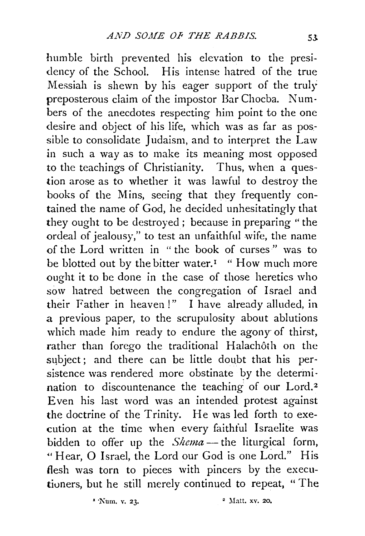humble birth prevented his elevation to the presi dency of the School. His intense hatred of the true Messiah is shewn by his eager support of the truly preposterous claim of the impostor Bar Chocba. Numbers of the anecdotes respecting him point to the one desire and object of his life, which was as far as possible to consolidate Judaism, and to interpret the Law in such a way as to make its meaning most opposed to the teachings of Christianity. Thus, when a question arose as to whether it was lawful to destroy the books of the Mins, seeing that they frequently contained the name of God, he decided unhesitatingly that they ought to be destroyed; because in preparing "the ordeal of jealousy," to test an unfaithful wife, the name of the Lord written in " the book of curses " was to be blotted out by the bitter water.<sup>1</sup> " How much more ought it to be done in the case of those heretics who sow hatred between the congregation of Israel and their Father in heaven!" I have already alluded, in a previous paper, to the scrupulosity about ablutions which made him ready to endure the agony of thirst, rather than forego the traditional Halachôth on the subject; and there can be little doubt that his persistence was rendered more obstinate by the determination to discountenance the teaching of our Lord.<sup>2</sup> Even his last word was an intended protest against the doctrine of the Trinity. He was led forth to execution at the time when every faithful Israelite was bidden to offer up the *Shema-* the liturgical form, "Hear, 0 Israel, the Lord our God is one Lord." His flesh was torn to pieces with pincers by the executioners, but he still merely continued to repeat, " The

 $\frac{1}{2}$  Num. v. 23.  $\frac{2}{3}$  Matt. xv. 20.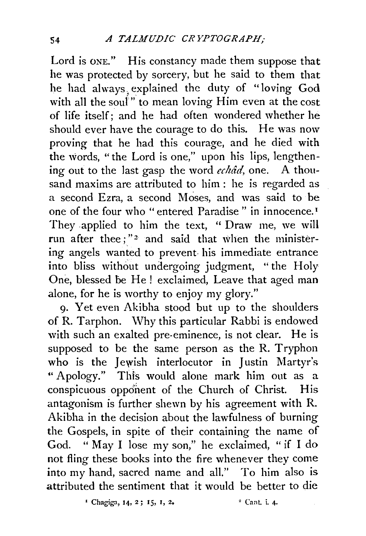Lord is ONE." His constancy made them suppose that he was protected by sorcery, but he said to them that he had always, explained the duty of "loving God with all the souf" to mean loving Him even at the cost of life itself; and he had often wondered whether he should ever have the courage to do this. He was now proving that he had this courage, and he died with the words, "the Lord is one," upon his lips, lengthening out to the last gasp the word *echad,* one. A thousand maxims are attributed to him : he is regarded as a second Ezra, a second Moses, and was said to be one of the four who "entered Paradise " in innocence. 1 They .applied to him the text, " Draw me, we will run after thee;"<sup>2</sup> and said that when the ministering angels wanted to prevent- his immediate entrance into bliss without undergoing judgment, "the Holy One, blessed be He! exclaimed, Leave that aged man alone, for he is worthy to enjoy my glory."

9· Yet even Akibha stood but up to the shoulders of R. Tarphon. \Vhy this particular Rabbi is endowed with such an exalted pre-eminence, is not clear. He is supposed to be the same person as the R. Tryphon who is the Jewish interlocutor in Justin Martyr's "Apology." This would alone mark him out as a conspicuous opponent of the Church of Christ. His antagonism is further shewn by his agreement with R. Akibha in the decision about the lawfulness of burning the Gospels, in spite of their containing the name of God. " May I lose my son," he exclaimed, " if I do not fling these books into the fire whenever they come into my hand, sacred name and all." To him also is attributed the sentiment that it would be better to die

<sup>1</sup> Chagiga, 14, 2; 15, 1, 2. <sup>2</sup> Cant. i. 4.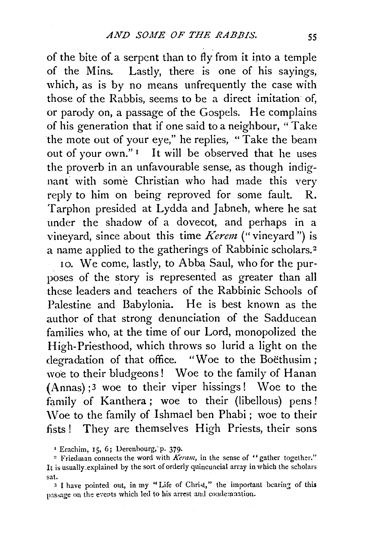of the bite of a serpent than to fly from it into a temple of the Mins. Lastly, there is one of his sayings, which, as is by no means unfrequently the case with those of the Rabbis, seems to be a direct imitation of, or parody on, a passage of the Gospels. He complains of his generation that if one said to a neighbour, "Take the mote out of your eye," he replies, "Take the beam out of your own."<sup>1</sup> It will be observed that he uses the proverb in an unfavourable sense, as though indignant with some Christian who had made this very reply to him on being reproved for some fault. R. Tarphon presided at Lydda and Jabneh, where he sat under the shadow of a dovecot, and perhaps in a vineyard, since about this time *Kerem* ("vineyard") is a name applied to the gatherings of Rabbinic scholars. <sup>2</sup>

10. We come, lastly, to Abba Saul, who for the purposes of the story is represented as greater than all these leaders and teachers of the Rabbinic Schools of Palestine and Babylonia. He is best known as the author of that strong denunciation of the Sadducean families who, at the time of our Lord, monopolized the High-Priesthood, which throws so lurid a light on the degradation of that office. "Woe to the Boethusim; woe to their bludgeons! Woe to the family of Hanan (Annas) ;3 woe to their viper hissings! Woe to the family of Kanthera; woe to their (libellous) pens! \Voe to the family of lshmael ben Phabi ; woe to their fists! They are themselves High Priests, their sons

<sup>1</sup> Erachim, 15, 6; Derenbourg, p. 379.

<sup>&</sup>lt;sup>2</sup> Friedman connects the word with *Keram*, in the sense of "gather together." It is usually .explained by the sort of orderly quincuncial array in which the scholars sat.

<sup>3</sup> I have pointed out, in my "Life of Christ," the important bearing of this passage on the events which led to his arrest and coademaation.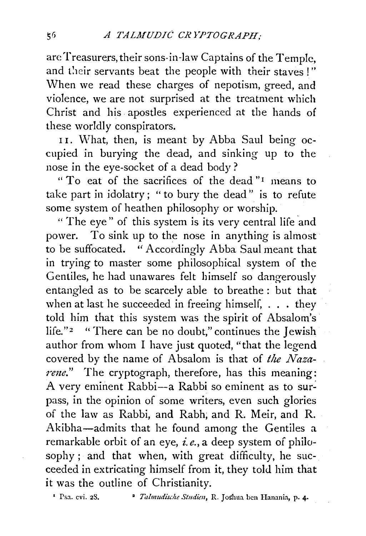are Treasurers, their sons-in-law Captains of the Temple, and their servants beat the people with their staves !" When we read these charges of nepotism, greed, and violence, we are not surprised at the treatment which Christ and his. apostles experienced at the hands of these worldly conspirators.

11. What, then, is meant by Abba Saul being occupied in burying the dead, and sinking up to the nose in the eye-socket of a dead body?

" To eat of the sacrifices of the dead "<sup>1</sup> means to take part in idolatry; " to bury the dead'' is to refute some system of heathen philosophy or worship.

" The eye" of this system is its very central life and power. To sink up to the nose in anything is almost to be suffocated. "Accordingly Abba Saul meant that in trying to master some philosophical system of the Gentiles, he had unawares felt himself so dangerously entangled as to be scarcely able to breathe : but that when at last he succeeded in freeing himself, . . . they told him that this system was the spirit of Absalom's life."<sup>2</sup> " There can be no doubt," continues the Jewish author from whom I have just quoted, "that the legend covered by the name of Absalom is that of *the Nazarem."* The cryptograph, therefore, has this meaning: A very eminent Rabbi-a Rabbi so eminent as to surpass, in the opinion of some writers, even such glories of the law as Rabbi, and Rabh; and R. Meir, and R. Akibha-admits that he found among the Gentiles a remarkable orbit of an eye, *i.e.,* a deep system of philosophy ; and that when, with great difficulty, he succeeded in extricating himself from it, they told him that it was the outline of Christianity.

<sup>1</sup> Psa. cvi. 28. • <sup>2</sup> *Talmudische Studien*, R. Joshua ben Hanania, p. 4.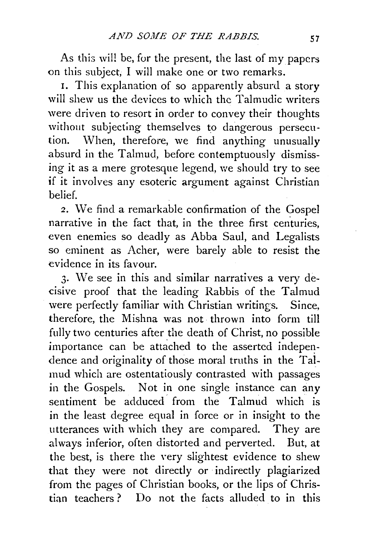As this will be, for the present, the last of my papers on this subject, I will make one or two remarks.

1. This explanation of so apparently absurd a story will shew us the devices to which the Talmudic writers were driven to resort in order to convey their thoughts without subjecting themselves to dangerous persecution. When, therefore, we find anything unusually absurd in the Talmud, before contemptuously dismissing it as a mere grotesque legend, we should try to see if it involves any esoteric argument against Christian belief.

2. We find a remarkable confirmation of the Gospel narrative in the fact that, in the three first centuries. even enemies so deadly as Abba Saul, and Legalists so eminent as Acher, were barely able to resist the evidence in its favour.

3· \Ve see in this and similar narratives a very decisive proof that the leading Rabbis of the Talmud were perfectly familiar with Christian writings. Since, therefore, the Mishna was not thrown into form till fully two centuries after the death of Christ, no possible importance can be attached to the asserted independence and originality of those moral truths in the Talmud which are ostentatiously contrasted with passages in the Gospels. Not in one single instance can any sentiment be adduced from the Talmud which is in the least degree equal in force or in insight to the utterances with which they are compared. They are always inferior, often distorted and perverted. But, at the best, is there the very slightest evidence to shew that they were not directly or indirectly plagiarized from the pages of Christian books, or the lips of Christian teachers ? Do not the facts alluded to in this